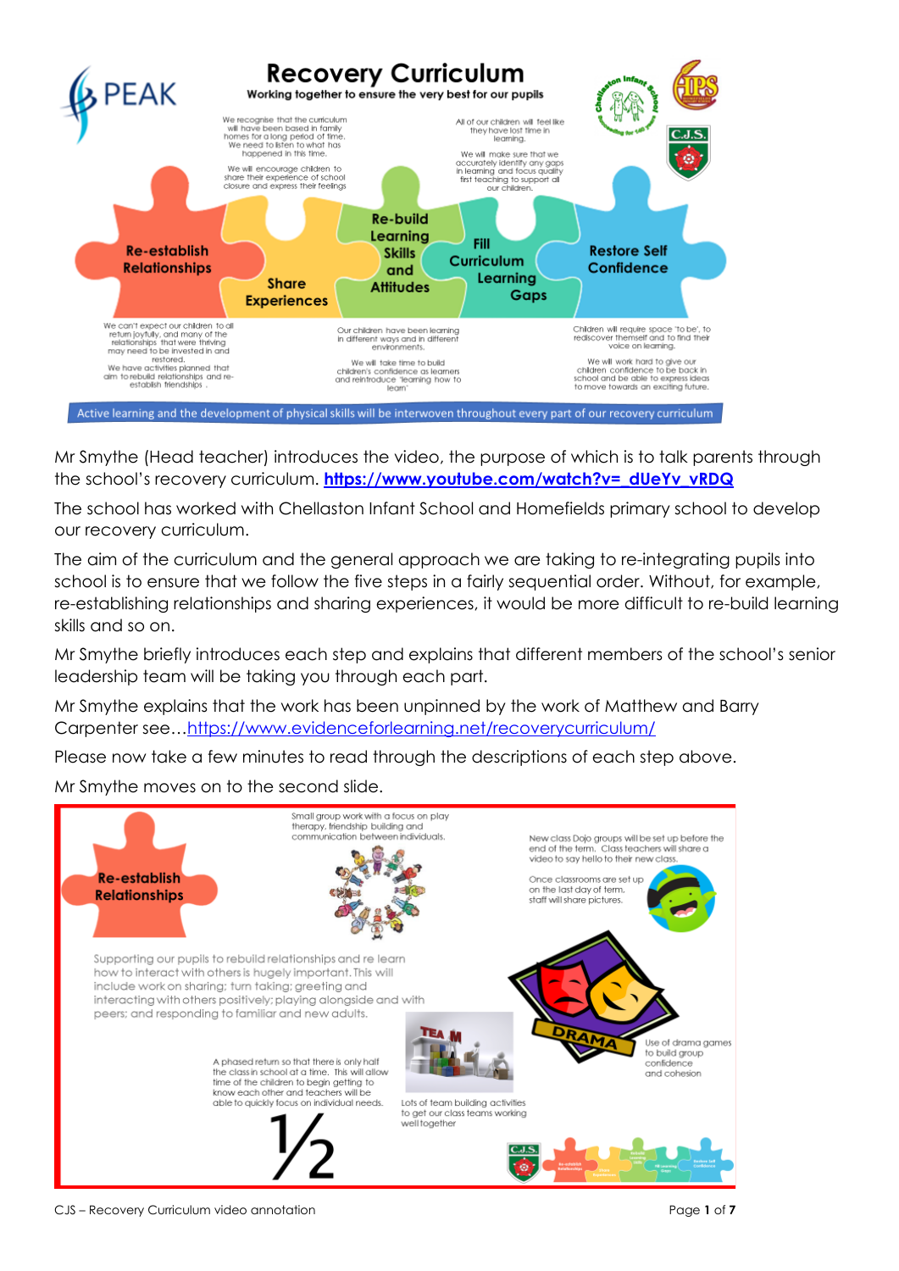

Mr Smythe (Head teacher) introduces the video, the purpose of which is to talk parents through the school's recovery curriculum. **[https://www.youtube.com/watch?v=\\_dUeYv\\_vRDQ](https://www.youtube.com/watch?v=_dUeYv_vRDQ)**

The school has worked with Chellaston Infant School and Homefields primary school to develop our recovery curriculum.

The aim of the curriculum and the general approach we are taking to re-integrating pupils into school is to ensure that we follow the five steps in a fairly sequential order. Without, for example, re-establishing relationships and sharing experiences, it would be more difficult to re-build learning skills and so on.

Mr Smythe briefly introduces each step and explains that different members of the school's senior leadership team will be taking you through each part.

Mr Smythe explains that the work has been unpinned by the work of Matthew and Barry Carpenter see…<https://www.evidenceforlearning.net/recoverycurriculum/>

Please now take a few minutes to read through the descriptions of each step above.

Mr Smythe moves on to the second slide.

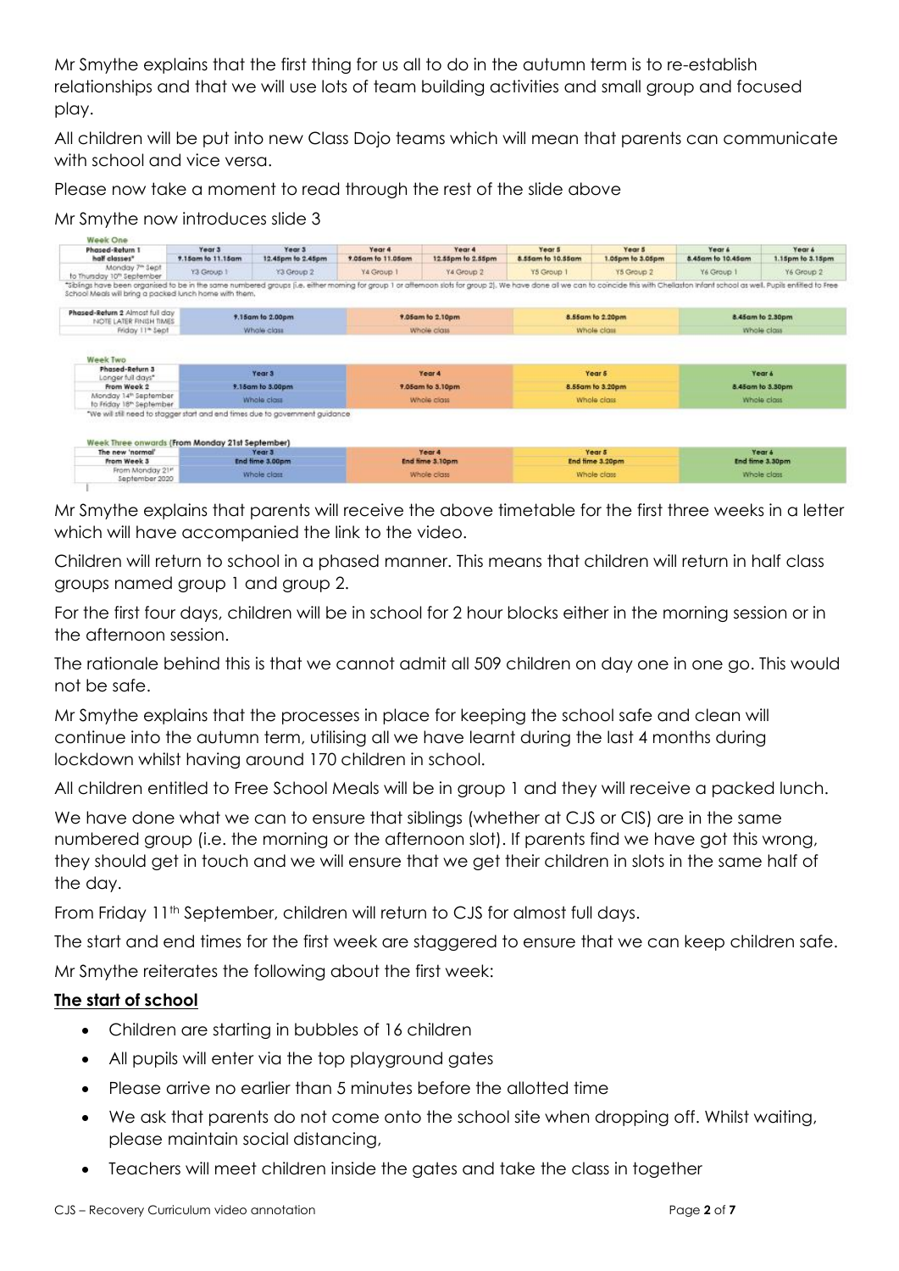Mr Smythe explains that the first thing for us all to do in the autumn term is to re-establish relationships and that we will use lots of team building activities and small group and focused play.

All children will be put into new Class Dojo teams which will mean that parents can communicate with school and vice versa.

Please now take a moment to read through the rest of the slide above

#### Mr Smythe now introduces slide 3

| Phased-Return 1<br>half classes"                                                                                                                                                                                                                                                         | Year 3                                           | Year 3                                                                        | Year 4            | Year 4            | Year 5            | Year 5                     | Year &            | Year 4           |  |
|------------------------------------------------------------------------------------------------------------------------------------------------------------------------------------------------------------------------------------------------------------------------------------------|--------------------------------------------------|-------------------------------------------------------------------------------|-------------------|-------------------|-------------------|----------------------------|-------------------|------------------|--|
|                                                                                                                                                                                                                                                                                          | 9.15am to 11.15am                                | 12.45pm to 2.45pm                                                             | 9.05am fo 11.05am | 12.55pm to 2.55pm | 8.55am to 10.55am | 1.05pm to 3.05pm           | 8.45am to 10.45am | 1.15pm to 3.15pm |  |
| Monday 7 <sup>e</sup> Sept<br>to Thursday 10th September                                                                                                                                                                                                                                 | Y3 Group 1                                       | Y3 Group 2                                                                    | Ya Group 1        | Y4 Group 2        | Y5 Group 1        | Y5 Group 2                 | Yé Group 1        | Y6 Group 2       |  |
| *Sblings have been organised to be in the same numbered groups (i.e. either moming for group 1 or afternoon slots for group 2). We have done all we can to coincide this with Chellaston Infant school as well. Pupils enfitte<br>School Meals will bring a packed lunch home with them. |                                                  |                                                                               |                   |                   |                   |                            |                   |                  |  |
| Phased-Return 2 Almost full day<br><b>INOTE LATER FINISH TIMES</b>                                                                                                                                                                                                                       | 9.15am to 2.00pm                                 |                                                                               | 9.05am to 2.10pm  |                   | 8.55cm to 2.20pm  |                            | 8.45cm to 2.30pm  |                  |  |
| Friday 11 <sup>*</sup> Sept                                                                                                                                                                                                                                                              |                                                  | Whole class                                                                   |                   | Whole class       |                   | Whole closs                |                   | Whole class      |  |
| Longer full days"<br>From Week 2                                                                                                                                                                                                                                                         |                                                  | 9.15am to 3.00pm                                                              |                   | 9.05am to 3.10pm  |                   | Year 5<br>8.55am to 3.20pm |                   | 8.45cm to 3.30pm |  |
| Phased-Return 3                                                                                                                                                                                                                                                                          |                                                  | Year 3                                                                        |                   | Year 4            |                   |                            | Year 6            |                  |  |
| Monday 14th September                                                                                                                                                                                                                                                                    |                                                  |                                                                               |                   |                   |                   |                            |                   |                  |  |
| to Friday 18th September                                                                                                                                                                                                                                                                 |                                                  | Whole closs                                                                   |                   | Whole class       |                   | Whole class                |                   | Whole closs      |  |
| Week Three onwards (From Monday 21st September)                                                                                                                                                                                                                                          |                                                  | "We will still need to stagger start and end times due to government guidance |                   |                   |                   |                            |                   |                  |  |
| The new 'normal'                                                                                                                                                                                                                                                                         |                                                  | Year 3                                                                        |                   | Year 4            |                   | Year 5                     |                   | Year 4           |  |
| From Week 3                                                                                                                                                                                                                                                                              |                                                  | End time 3.00pm                                                               |                   | End fime 3.10pm   |                   | End fime 3.20pm            |                   | End time 3.30pm  |  |
|                                                                                                                                                                                                                                                                                          | From Monday 21"<br>Whole class<br>September 2020 |                                                                               | Whole class       |                   | Whole class       |                            | Whole closs       |                  |  |

Mr Smythe explains that parents will receive the above timetable for the first three weeks in a letter which will have accompanied the link to the video.

Children will return to school in a phased manner. This means that children will return in half class groups named group 1 and group 2.

For the first four days, children will be in school for 2 hour blocks either in the morning session or in the afternoon session.

The rationale behind this is that we cannot admit all 509 children on day one in one go. This would not be safe.

Mr Smythe explains that the processes in place for keeping the school safe and clean will continue into the autumn term, utilising all we have learnt during the last 4 months during lockdown whilst having around 170 children in school.

All children entitled to Free School Meals will be in group 1 and they will receive a packed lunch.

We have done what we can to ensure that siblings (whether at CJS or CIS) are in the same numbered group (i.e. the morning or the afternoon slot). If parents find we have got this wrong, they should get in touch and we will ensure that we get their children in slots in the same half of the day.

From Friday 11<sup>th</sup> September, children will return to CJS for almost full days.

The start and end times for the first week are staggered to ensure that we can keep children safe.

Mr Smythe reiterates the following about the first week:

## **The start of school**

- Children are starting in bubbles of 16 children
- All pupils will enter via the top playground gates
- Please arrive no earlier than 5 minutes before the allotted time
- We ask that parents do not come onto the school site when dropping off. Whilst waiting, please maintain social distancing,
- Teachers will meet children inside the gates and take the class in together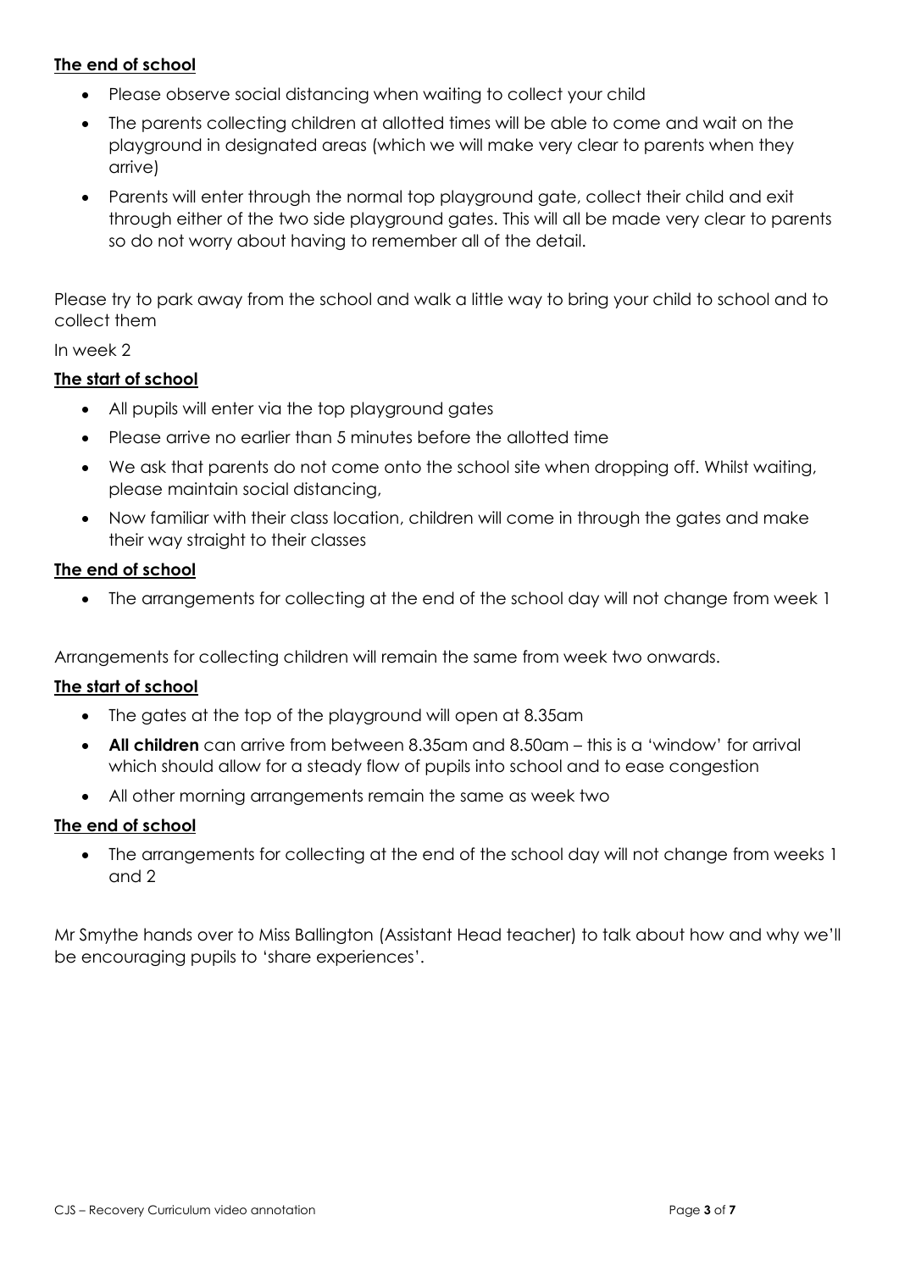# **The end of school**

- Please observe social distancing when waiting to collect your child
- The parents collecting children at allotted times will be able to come and wait on the playground in designated areas (which we will make very clear to parents when they arrive)
- Parents will enter through the normal top playground gate, collect their child and exit through either of the two side playground gates. This will all be made very clear to parents so do not worry about having to remember all of the detail.

Please try to park away from the school and walk a little way to bring your child to school and to collect them

#### In week 2

## **The start of school**

- All pupils will enter via the top playground gates
- Please arrive no earlier than 5 minutes before the allotted time
- We ask that parents do not come onto the school site when dropping off. Whilst waiting, please maintain social distancing,
- Now familiar with their class location, children will come in through the gates and make their way straight to their classes

## **The end of school**

• The arrangements for collecting at the end of the school day will not change from week 1

Arrangements for collecting children will remain the same from week two onwards.

#### **The start of school**

- The gates at the top of the playground will open at 8.35am
- **All children** can arrive from between 8.35am and 8.50am this is a 'window' for arrival which should allow for a steady flow of pupils into school and to ease congestion
- All other morning arrangements remain the same as week two

#### **The end of school**

• The arrangements for collecting at the end of the school day will not change from weeks 1 and 2

Mr Smythe hands over to Miss Ballington (Assistant Head teacher) to talk about how and why we'll be encouraging pupils to 'share experiences'.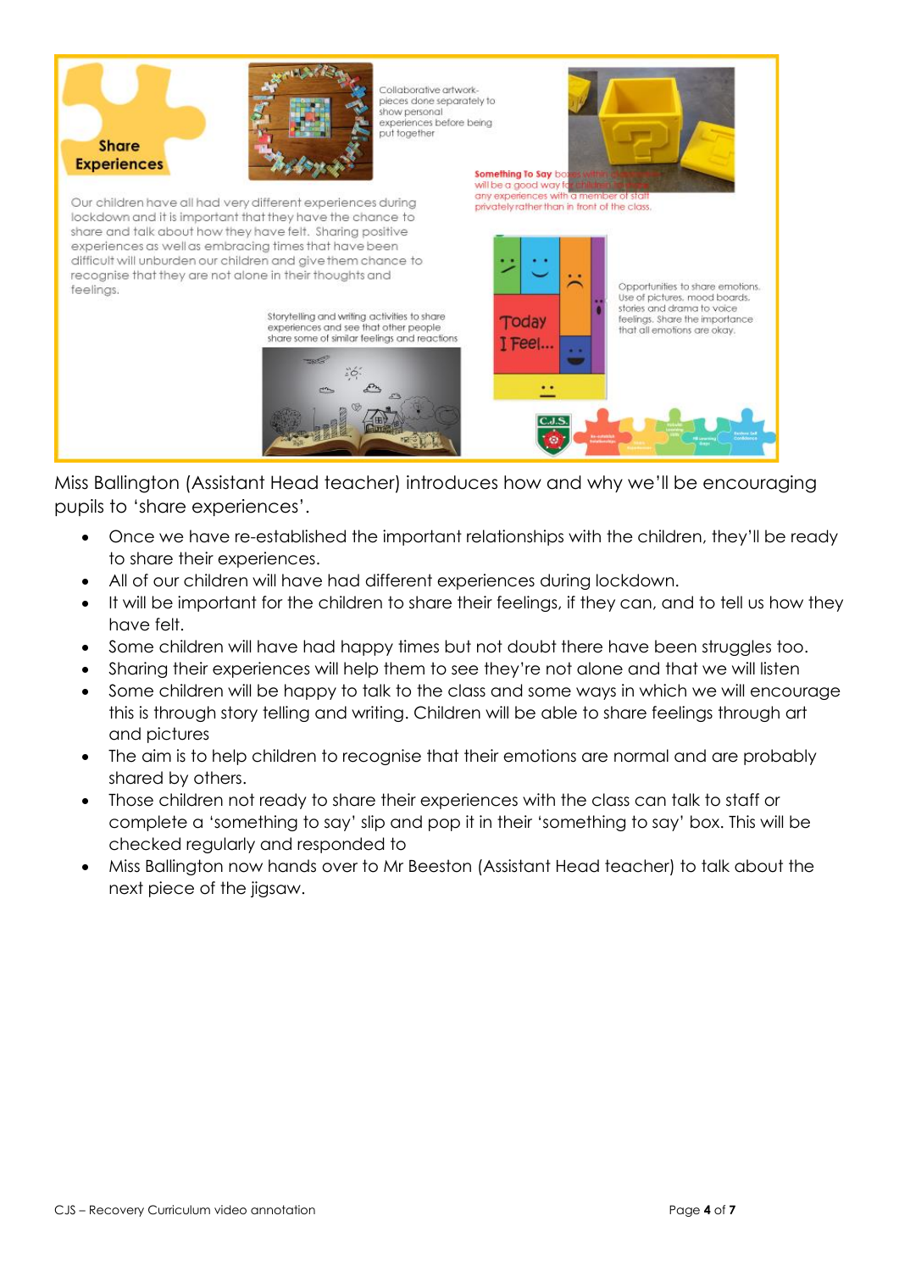

Miss Ballington (Assistant Head teacher) introduces how and why we'll be encouraging pupils to 'share experiences'.

- Once we have re-established the important relationships with the children, they'll be ready to share their experiences.
- All of our children will have had different experiences during lockdown.
- It will be important for the children to share their feelings, if they can, and to tell us how they have felt.
- Some children will have had happy times but not doubt there have been struggles too.
- Sharing their experiences will help them to see they're not alone and that we will listen
- Some children will be happy to talk to the class and some ways in which we will encourage this is through story telling and writing. Children will be able to share feelings through art and pictures
- The aim is to help children to recognise that their emotions are normal and are probably shared by others.
- Those children not ready to share their experiences with the class can talk to staff or complete a 'something to say' slip and pop it in their 'something to say' box. This will be checked regularly and responded to
- Miss Ballington now hands over to Mr Beeston (Assistant Head teacher) to talk about the next piece of the jigsaw.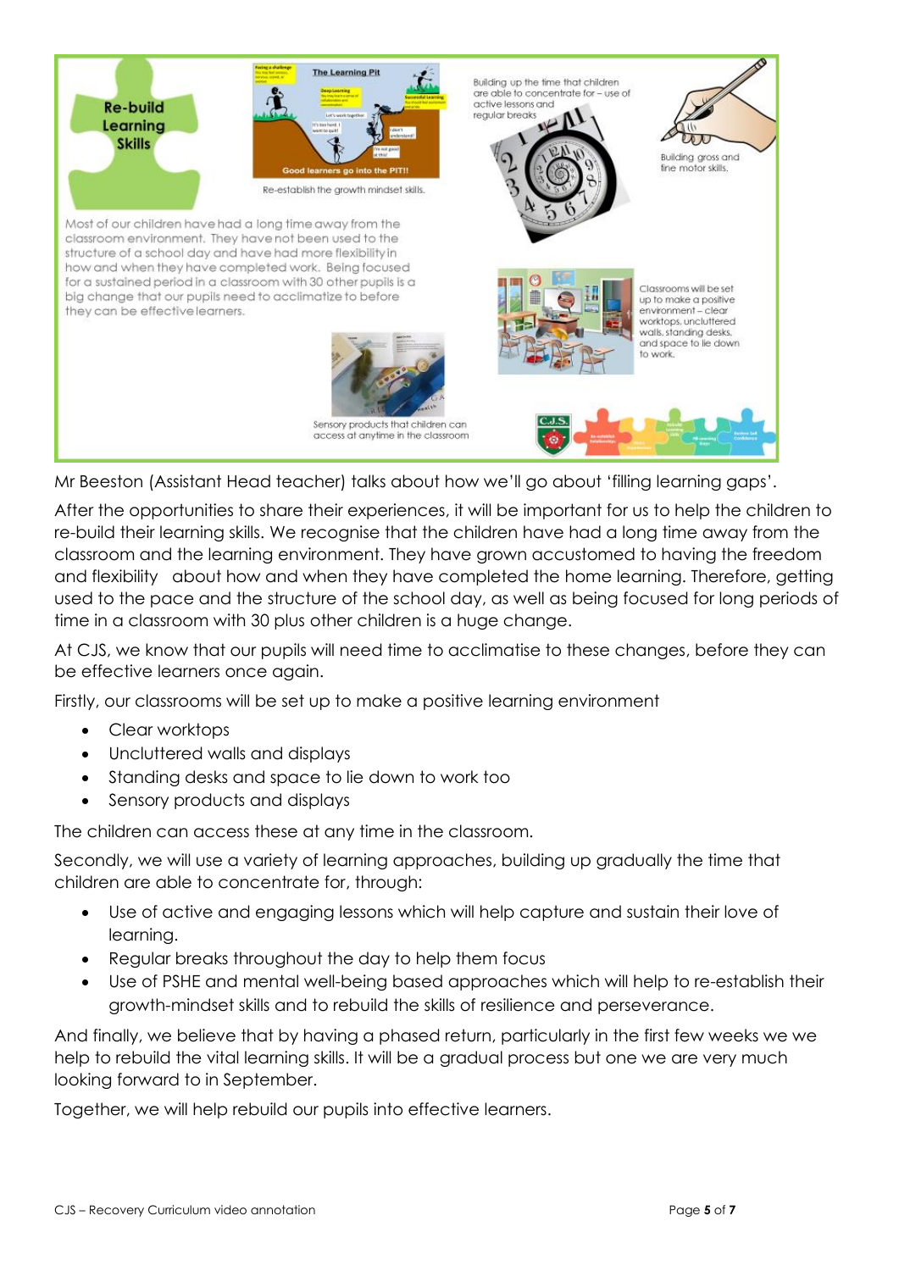

Mr Beeston (Assistant Head teacher) talks about how we'll go about 'filling learning gaps'.

After the opportunities to share their experiences, it will be important for us to help the children to re-build their learning skills. We recognise that the children have had a long time away from the classroom and the learning environment. They have grown accustomed to having the freedom and flexibility about how and when they have completed the home learning. Therefore, getting used to the pace and the structure of the school day, as well as being focused for long periods of time in a classroom with 30 plus other children is a huge change.

At CJS, we know that our pupils will need time to acclimatise to these changes, before they can be effective learners once again.

Firstly, our classrooms will be set up to make a positive learning environment

- Clear worktops
- Uncluttered walls and displays
- Standing desks and space to lie down to work too
- Sensory products and displays

The children can access these at any time in the classroom.

Secondly, we will use a variety of learning approaches, building up gradually the time that children are able to concentrate for, through:

- Use of active and engaging lessons which will help capture and sustain their love of learning.
- Regular breaks throughout the day to help them focus
- Use of PSHE and mental well-being based approaches which will help to re-establish their growth-mindset skills and to rebuild the skills of resilience and perseverance.

And finally, we believe that by having a phased return, particularly in the first few weeks we we help to rebuild the vital learning skills. It will be a gradual process but one we are very much looking forward to in September.

Together, we will help rebuild our pupils into effective learners.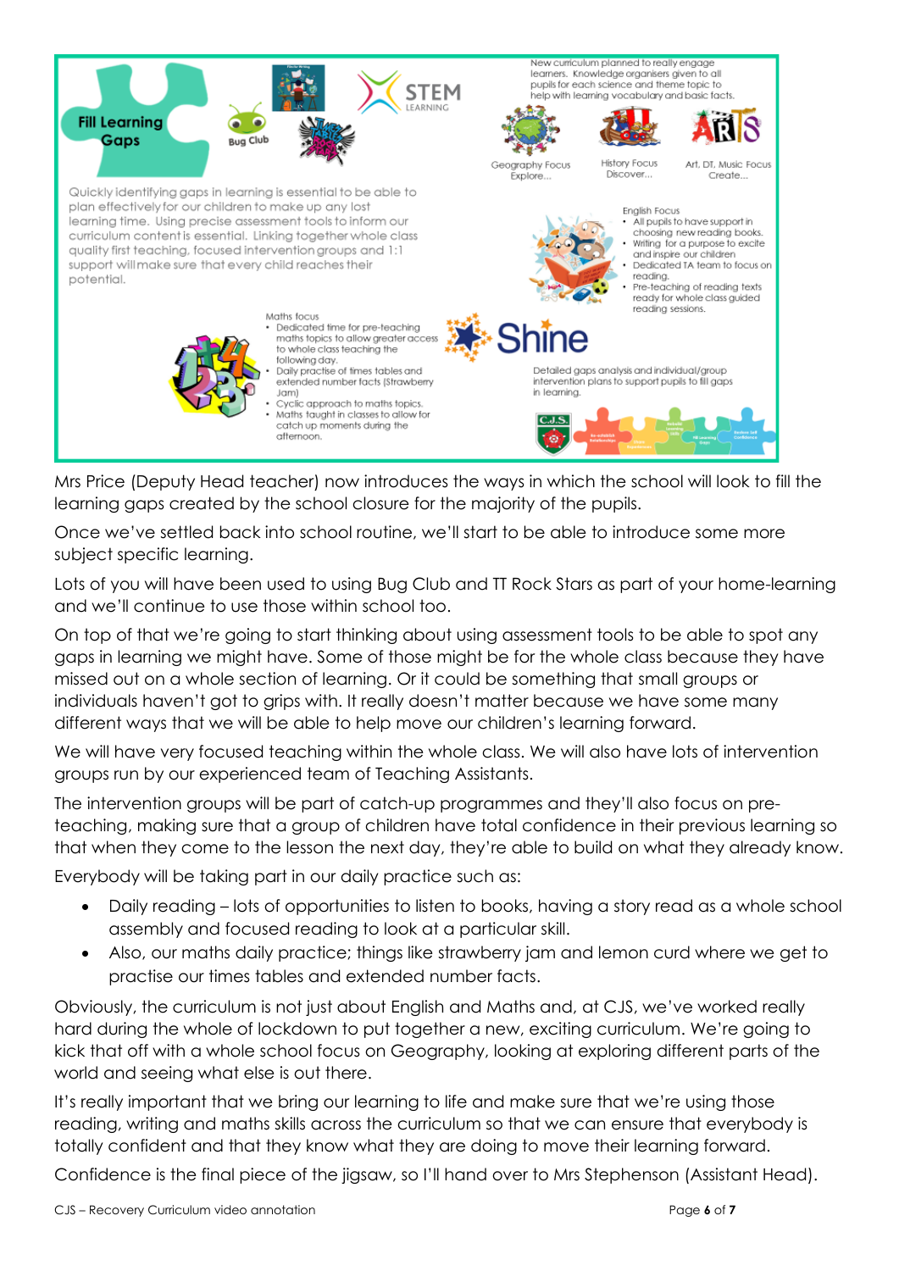

Mrs Price (Deputy Head teacher) now introduces the ways in which the school will look to fill the learning gaps created by the school closure for the majority of the pupils.

Once we've settled back into school routine, we'll start to be able to introduce some more subject specific learning.

Lots of you will have been used to using Bug Club and TT Rock Stars as part of your home-learning and we'll continue to use those within school too.

On top of that we're going to start thinking about using assessment tools to be able to spot any gaps in learning we might have. Some of those might be for the whole class because they have missed out on a whole section of learning. Or it could be something that small groups or individuals haven't got to grips with. It really doesn't matter because we have some many different ways that we will be able to help move our children's learning forward.

We will have very focused teaching within the whole class. We will also have lots of intervention groups run by our experienced team of Teaching Assistants.

The intervention groups will be part of catch-up programmes and they'll also focus on preteaching, making sure that a group of children have total confidence in their previous learning so that when they come to the lesson the next day, they're able to build on what they already know.

Everybody will be taking part in our daily practice such as:

- Daily reading lots of opportunities to listen to books, having a story read as a whole school assembly and focused reading to look at a particular skill.
- Also, our maths daily practice; things like strawberry jam and lemon curd where we get to practise our times tables and extended number facts.

Obviously, the curriculum is not just about English and Maths and, at CJS, we've worked really hard during the whole of lockdown to put together a new, exciting curriculum. We're going to kick that off with a whole school focus on Geography, looking at exploring different parts of the world and seeing what else is out there.

It's really important that we bring our learning to life and make sure that we're using those reading, writing and maths skills across the curriculum so that we can ensure that everybody is totally confident and that they know what they are doing to move their learning forward.

Confidence is the final piece of the jigsaw, so I'll hand over to Mrs Stephenson (Assistant Head).